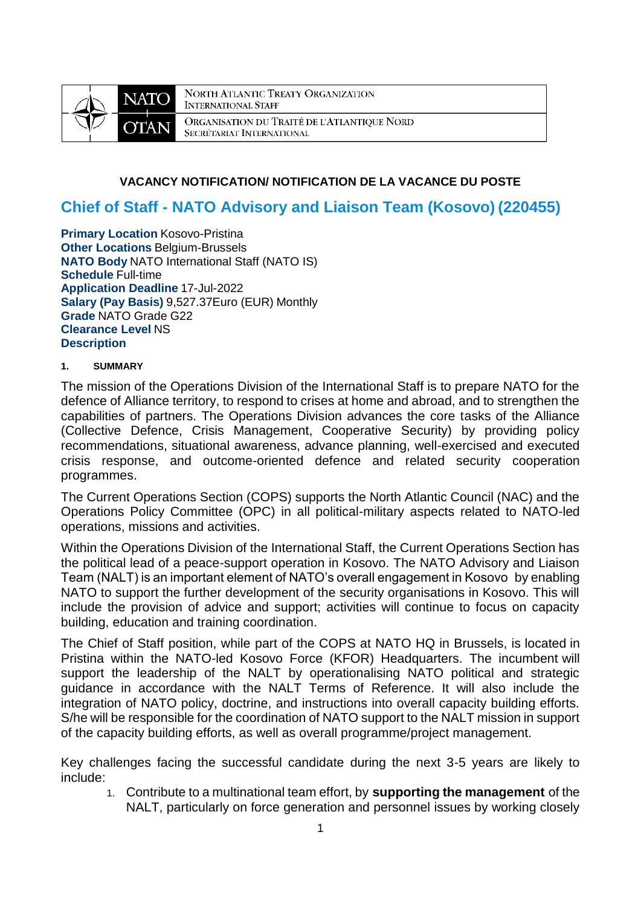

NORTH ATLANTIC TREATY ORGANIZATION **INTERNATIONAL STAFF** ORGANISATION DU TRAITÉ DE L'ATLANTIQUE NORD SECRÉTARIAT INTERNATIONAL

#### **VACANCY NOTIFICATION/ NOTIFICATION DE LA VACANCE DU POSTE**

# **Chief of Staff - NATO Advisory and Liaison Team (Kosovo) (220455)**

**Primary Location** Kosovo-Pristina **Other Locations** Belgium-Brussels **NATO Body** NATO International Staff (NATO IS) **Schedule** Full-time **Application Deadline** 17-Jul-2022 **Salary (Pay Basis)** 9,527.37Euro (EUR) Monthly **Grade** NATO Grade G22 **Clearance Level** NS **Description**

#### **1. SUMMARY**

The mission of the Operations Division of the International Staff is to prepare NATO for the defence of Alliance territory, to respond to crises at home and abroad, and to strengthen the capabilities of partners. The Operations Division advances the core tasks of the Alliance (Collective Defence, Crisis Management, Cooperative Security) by providing policy recommendations, situational awareness, advance planning, well-exercised and executed crisis response, and outcome-oriented defence and related security cooperation programmes.

The Current Operations Section (COPS) supports the North Atlantic Council (NAC) and the Operations Policy Committee (OPC) in all political-military aspects related to NATO-led operations, missions and activities.

Within the Operations Division of the International Staff, the Current Operations Section has the political lead of a peace-support operation in Kosovo. The NATO Advisory and Liaison Team (NALT) is an important element of NATO's overall engagement in Kosovo by enabling NATO to support the further development of the security organisations in Kosovo. This will include the provision of advice and support; activities will continue to focus on capacity building, education and training coordination.

The Chief of Staff position, while part of the COPS at NATO HQ in Brussels, is located in Pristina within the NATO-led Kosovo Force (KFOR) Headquarters. The incumbent will support the leadership of the NALT by operationalising NATO political and strategic guidance in accordance with the NALT Terms of Reference. It will also include the integration of NATO policy, doctrine, and instructions into overall capacity building efforts. S/he will be responsible for the coordination of NATO support to the NALT mission in support of the capacity building efforts, as well as overall programme/project management.

Key challenges facing the successful candidate during the next 3-5 years are likely to include:

1. Contribute to a multinational team effort, by **supporting the management** of the NALT, particularly on force generation and personnel issues by working closely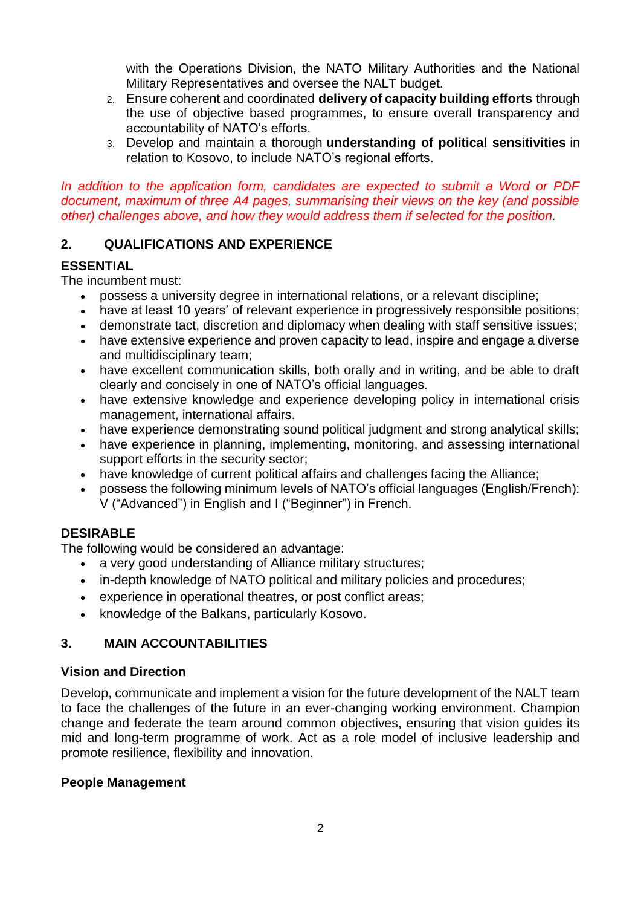with the Operations Division, the NATO Military Authorities and the National Military Representatives and oversee the NALT budget.

- 2. Ensure coherent and coordinated **delivery of capacity building efforts** through the use of objective based programmes, to ensure overall transparency and accountability of NATO's efforts.
- 3. Develop and maintain a thorough **understanding of political sensitivities** in relation to Kosovo, to include NATO's regional efforts.

*In addition to the application form, candidates are expected to submit a Word or PDF document, maximum of three A4 pages, summarising their views on the key (and possible other) challenges above, and how they would address them if selected for the position.*

## **2. QUALIFICATIONS AND EXPERIENCE**

## **ESSENTIAL**

The incumbent must:

- possess a university degree in international relations, or a relevant discipline;
- have at least 10 years' of relevant experience in progressively responsible positions;
- demonstrate tact, discretion and diplomacy when dealing with staff sensitive issues;
- have extensive experience and proven capacity to lead, inspire and engage a diverse and multidisciplinary team;
- have excellent communication skills, both orally and in writing, and be able to draft clearly and concisely in one of NATO's official languages.
- have extensive knowledge and experience developing policy in international crisis management, international affairs.
- have experience demonstrating sound political judgment and strong analytical skills;
- have experience in planning, implementing, monitoring, and assessing international support efforts in the security sector;
- have knowledge of current political affairs and challenges facing the Alliance;
- possess the following minimum levels of NATO's official languages (English/French): V ("Advanced") in English and I ("Beginner") in French.

## **DESIRABLE**

The following would be considered an advantage:

- a very good understanding of Alliance military structures;
- in-depth knowledge of NATO political and military policies and procedures;
- experience in operational theatres, or post conflict areas;
- knowledge of the Balkans, particularly Kosovo.

## **3. MAIN ACCOUNTABILITIES**

### **Vision and Direction**

Develop, communicate and implement a vision for the future development of the NALT team to face the challenges of the future in an ever-changing working environment. Champion change and federate the team around common objectives, ensuring that vision guides its mid and long-term programme of work. Act as a role model of inclusive leadership and promote resilience, flexibility and innovation.

### **People Management**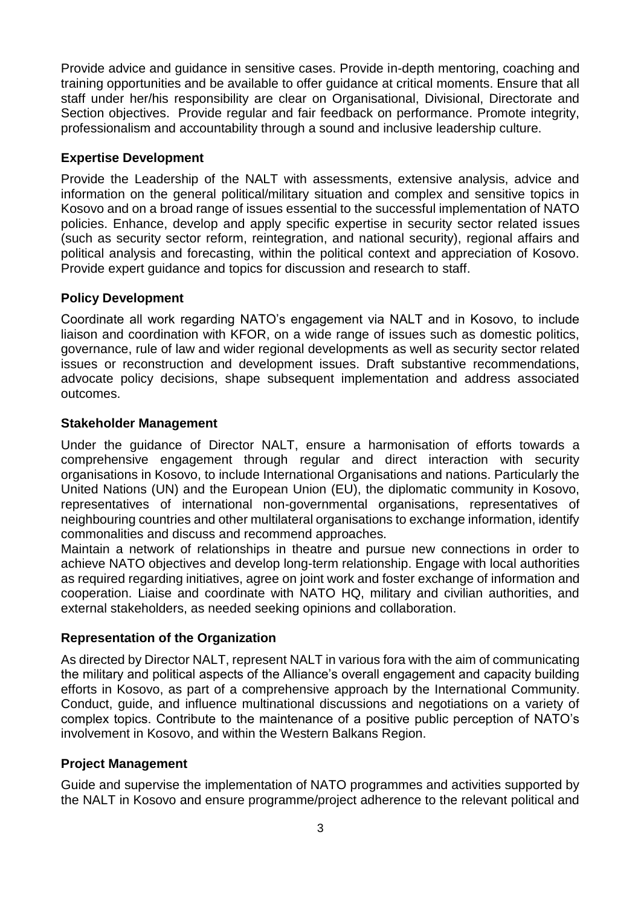Provide advice and guidance in sensitive cases. Provide in-depth mentoring, coaching and training opportunities and be available to offer guidance at critical moments. Ensure that all staff under her/his responsibility are clear on Organisational, Divisional, Directorate and Section objectives. Provide regular and fair feedback on performance. Promote integrity, professionalism and accountability through a sound and inclusive leadership culture.

### **Expertise Development**

Provide the Leadership of the NALT with assessments, extensive analysis, advice and information on the general political/military situation and complex and sensitive topics in Kosovo and on a broad range of issues essential to the successful implementation of NATO policies. Enhance, develop and apply specific expertise in security sector related issues (such as security sector reform, reintegration, and national security), regional affairs and political analysis and forecasting, within the political context and appreciation of Kosovo. Provide expert guidance and topics for discussion and research to staff.

#### **Policy Development**

Coordinate all work regarding NATO's engagement via NALT and in Kosovo, to include liaison and coordination with KFOR, on a wide range of issues such as domestic politics, governance, rule of law and wider regional developments as well as security sector related issues or reconstruction and development issues. Draft substantive recommendations, advocate policy decisions, shape subsequent implementation and address associated outcomes.

#### **Stakeholder Management**

Under the guidance of Director NALT, ensure a harmonisation of efforts towards a comprehensive engagement through regular and direct interaction with security organisations in Kosovo, to include International Organisations and nations. Particularly the United Nations (UN) and the European Union (EU), the diplomatic community in Kosovo, representatives of international non-governmental organisations, representatives of neighbouring countries and other multilateral organisations to exchange information, identify commonalities and discuss and recommend approaches.

Maintain a network of relationships in theatre and pursue new connections in order to achieve NATO objectives and develop long-term relationship. Engage with local authorities as required regarding initiatives, agree on joint work and foster exchange of information and cooperation. Liaise and coordinate with NATO HQ, military and civilian authorities, and external stakeholders, as needed seeking opinions and collaboration.

### **Representation of the Organization**

As directed by Director NALT, represent NALT in various fora with the aim of communicating the military and political aspects of the Alliance's overall engagement and capacity building efforts in Kosovo, as part of a comprehensive approach by the International Community. Conduct, guide, and influence multinational discussions and negotiations on a variety of complex topics. Contribute to the maintenance of a positive public perception of NATO's involvement in Kosovo, and within the Western Balkans Region.

#### **Project Management**

Guide and supervise the implementation of NATO programmes and activities supported by the NALT in Kosovo and ensure programme/project adherence to the relevant political and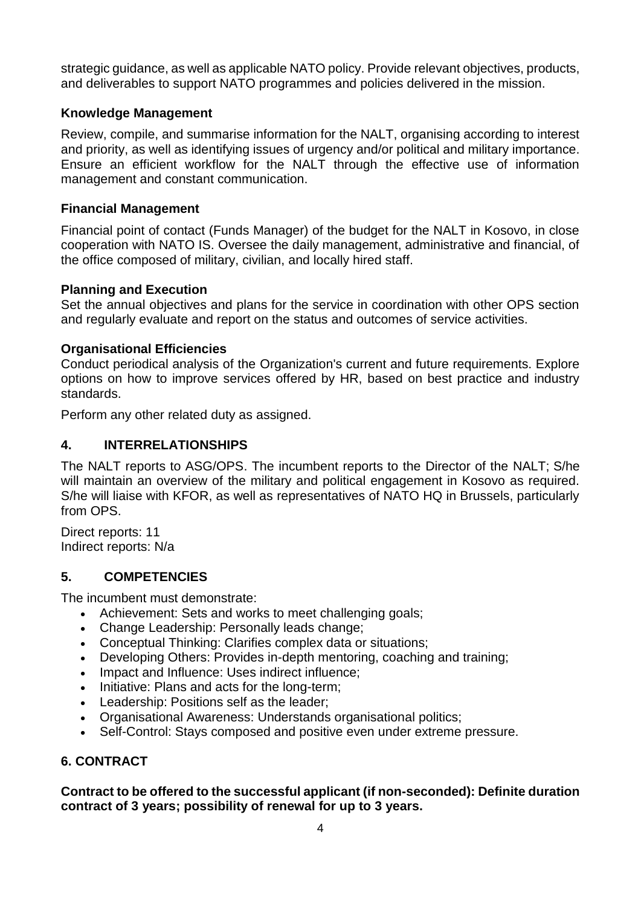strategic guidance, as well as applicable NATO policy. Provide relevant objectives, products, and deliverables to support NATO programmes and policies delivered in the mission.

### **Knowledge Management**

Review, compile, and summarise information for the NALT, organising according to interest and priority, as well as identifying issues of urgency and/or political and military importance. Ensure an efficient workflow for the NALT through the effective use of information management and constant communication.

#### **Financial Management**

Financial point of contact (Funds Manager) of the budget for the NALT in Kosovo, in close cooperation with NATO IS. Oversee the daily management, administrative and financial, of the office composed of military, civilian, and locally hired staff.

#### **Planning and Execution**

Set the annual objectives and plans for the service in coordination with other OPS section and regularly evaluate and report on the status and outcomes of service activities.

#### **Organisational Efficiencies**

Conduct periodical analysis of the Organization's current and future requirements. Explore options on how to improve services offered by HR, based on best practice and industry standards.

Perform any other related duty as assigned.

### **4. INTERRELATIONSHIPS**

The NALT reports to ASG/OPS. The incumbent reports to the Director of the NALT; S/he will maintain an overview of the military and political engagement in Kosovo as required. S/he will liaise with KFOR, as well as representatives of NATO HQ in Brussels, particularly from OPS.

Direct reports: 11 Indirect reports: N/a

### **5. COMPETENCIES**

The incumbent must demonstrate:

- Achievement: Sets and works to meet challenging goals:
- Change Leadership: Personally leads change;
- Conceptual Thinking: Clarifies complex data or situations;
- Developing Others: Provides in-depth mentoring, coaching and training;
- Impact and Influence: Uses indirect influence;
- Initiative: Plans and acts for the long-term;
- Leadership: Positions self as the leader:
- Organisational Awareness: Understands organisational politics;
- Self-Control: Stays composed and positive even under extreme pressure.

## **6. CONTRACT**

**Contract to be offered to the successful applicant (if non-seconded): Definite duration contract of 3 years; possibility of renewal for up to 3 years.**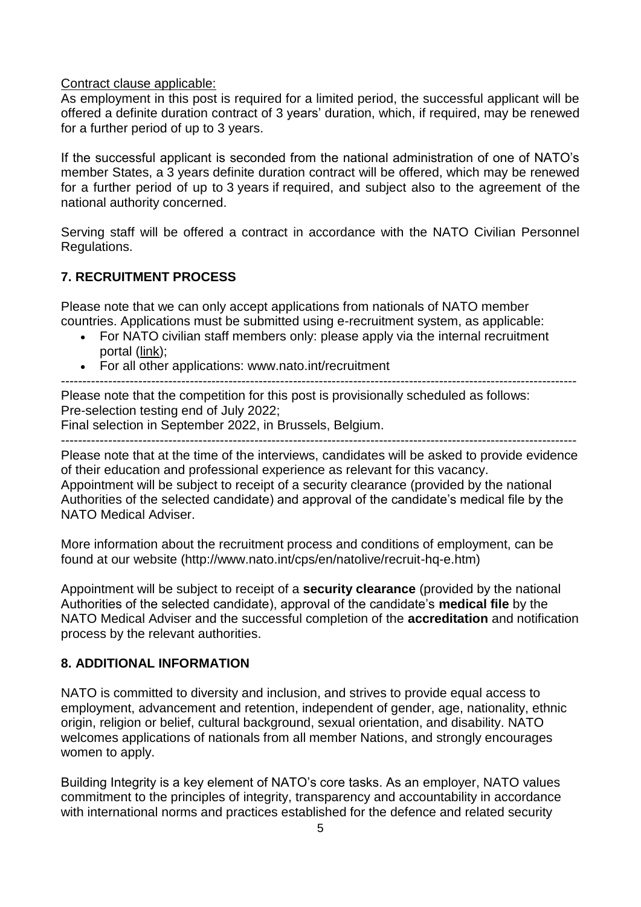Contract clause applicable:

As employment in this post is required for a limited period, the successful applicant will be offered a definite duration contract of 3 years' duration, which, if required, may be renewed for a further period of up to 3 years.

If the successful applicant is seconded from the national administration of one of NATO's member States, a 3 years definite duration contract will be offered, which may be renewed for a further period of up to 3 years if required, and subject also to the agreement of the national authority concerned.

Serving staff will be offered a contract in accordance with the NATO Civilian Personnel Regulations.

## **7. RECRUITMENT PROCESS**

Please note that we can only accept applications from nationals of NATO member countries. Applications must be submitted using e-recruitment system, as applicable:

- For NATO civilian staff members only: please apply via the internal recruitment portal [\(link\)](https://nato.taleo.net/careersection/1/jobsearch.ftl?lang=en);
- For all other applications: www.nato.int/recruitment
- 

Please note that the competition for this post is provisionally scheduled as follows: Pre-selection testing end of July 2022;

Final selection in September 2022, in Brussels, Belgium.

Please note that at the time of the interviews, candidates will be asked to provide evidence of their education and professional experience as relevant for this vacancy.

Appointment will be subject to receipt of a security clearance (provided by the national Authorities of the selected candidate) and approval of the candidate's medical file by the NATO Medical Adviser.

More information about the recruitment process and conditions of employment, can be found at our website (http://www.nato.int/cps/en/natolive/recruit-hq-e.htm)

Appointment will be subject to receipt of a **security clearance** (provided by the national Authorities of the selected candidate), approval of the candidate's **medical file** by the NATO Medical Adviser and the successful completion of the **accreditation** and notification process by the relevant authorities.

## **8. ADDITIONAL INFORMATION**

NATO is committed to diversity and inclusion, and strives to provide equal access to employment, advancement and retention, independent of gender, age, nationality, ethnic origin, religion or belief, cultural background, sexual orientation, and disability. NATO welcomes applications of nationals from all member Nations, and strongly encourages women to apply.

Building Integrity is a key element of NATO's core tasks. As an employer, NATO values commitment to the principles of integrity, transparency and accountability in accordance with international norms and practices established for the defence and related security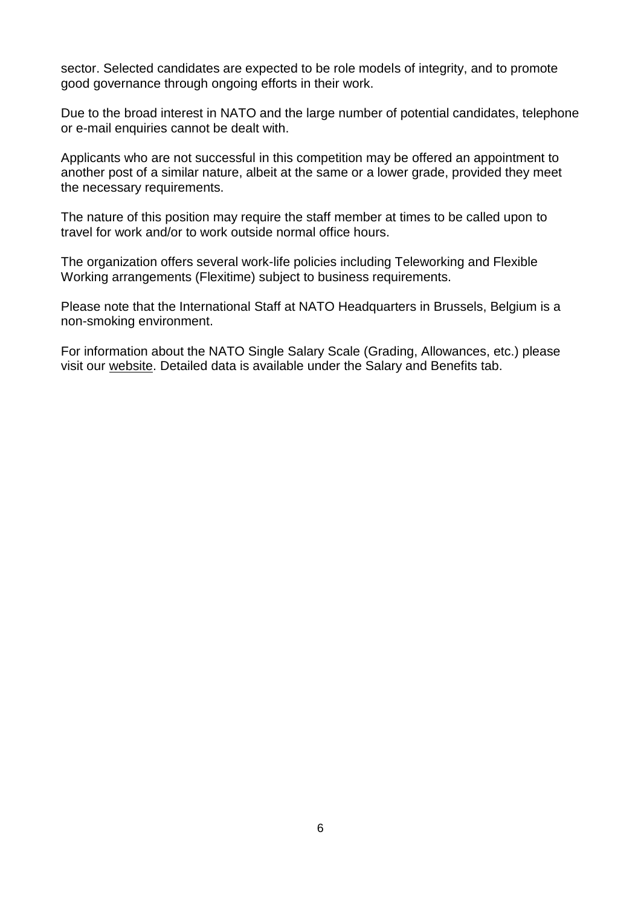sector. Selected candidates are expected to be role models of integrity, and to promote good governance through ongoing efforts in their work.

Due to the broad interest in NATO and the large number of potential candidates, telephone or e-mail enquiries cannot be dealt with.

Applicants who are not successful in this competition may be offered an appointment to another post of a similar nature, albeit at the same or a lower grade, provided they meet the necessary requirements.

The nature of this position may require the staff member at times to be called upon to travel for work and/or to work outside normal office hours.

The organization offers several work-life policies including Teleworking and Flexible Working arrangements (Flexitime) subject to business requirements.

Please note that the International Staff at NATO Headquarters in Brussels, Belgium is a non-smoking environment.

For information about the NATO Single Salary Scale (Grading, Allowances, etc.) please visit our [website.](https://www.nato.int/cps/en/natolive/86790.htm) Detailed data is available under the Salary and Benefits tab.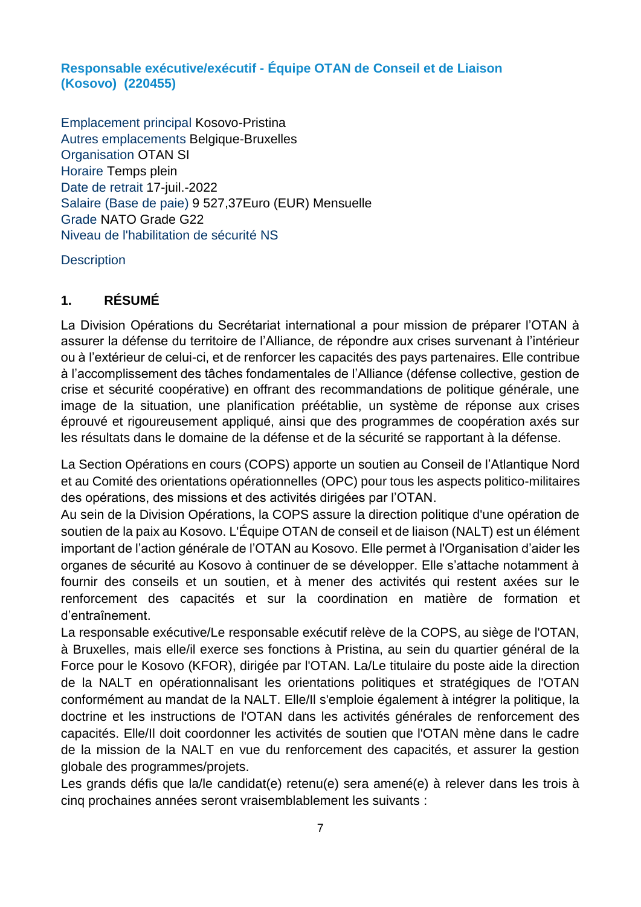**Responsable exécutive/exécutif - Équipe OTAN de Conseil et de Liaison (Kosovo) (220455)**

Emplacement principal Kosovo-Pristina Autres emplacements Belgique-Bruxelles Organisation OTAN SI Horaire Temps plein Date de retrait 17-juil.-2022 Salaire (Base de paie) 9 527,37Euro (EUR) Mensuelle Grade NATO Grade G22 Niveau de l'habilitation de sécurité NS

**Description** 

## **1. RÉSUMÉ**

La Division Opérations du Secrétariat international a pour mission de préparer l'OTAN à assurer la défense du territoire de l'Alliance, de répondre aux crises survenant à l'intérieur ou à l'extérieur de celui-ci, et de renforcer les capacités des pays partenaires. Elle contribue à l'accomplissement des tâches fondamentales de l'Alliance (défense collective, gestion de crise et sécurité coopérative) en offrant des recommandations de politique générale, une image de la situation, une planification préétablie, un système de réponse aux crises éprouvé et rigoureusement appliqué, ainsi que des programmes de coopération axés sur les résultats dans le domaine de la défense et de la sécurité se rapportant à la défense.

La Section Opérations en cours (COPS) apporte un soutien au Conseil de l'Atlantique Nord et au Comité des orientations opérationnelles (OPC) pour tous les aspects politico-militaires des opérations, des missions et des activités dirigées par l'OTAN.

Au sein de la Division Opérations, la COPS assure la direction politique d'une opération de soutien de la paix au Kosovo. L'Équipe OTAN de conseil et de liaison (NALT) est un élément important de l'action générale de l'OTAN au Kosovo. Elle permet à l'Organisation d'aider les organes de sécurité au Kosovo à continuer de se développer. Elle s'attache notamment à fournir des conseils et un soutien, et à mener des activités qui restent axées sur le renforcement des capacités et sur la coordination en matière de formation et d'entraînement.

La responsable exécutive/Le responsable exécutif relève de la COPS, au siège de l'OTAN, à Bruxelles, mais elle/il exerce ses fonctions à Pristina, au sein du quartier général de la Force pour le Kosovo (KFOR), dirigée par l'OTAN. La/Le titulaire du poste aide la direction de la NALT en opérationnalisant les orientations politiques et stratégiques de l'OTAN conformément au mandat de la NALT. Elle/Il s'emploie également à intégrer la politique, la doctrine et les instructions de l'OTAN dans les activités générales de renforcement des capacités. Elle/Il doit coordonner les activités de soutien que l'OTAN mène dans le cadre de la mission de la NALT en vue du renforcement des capacités, et assurer la gestion globale des programmes/projets.

Les grands défis que la/le candidat(e) retenu(e) sera amené(e) à relever dans les trois à cinq prochaines années seront vraisemblablement les suivants :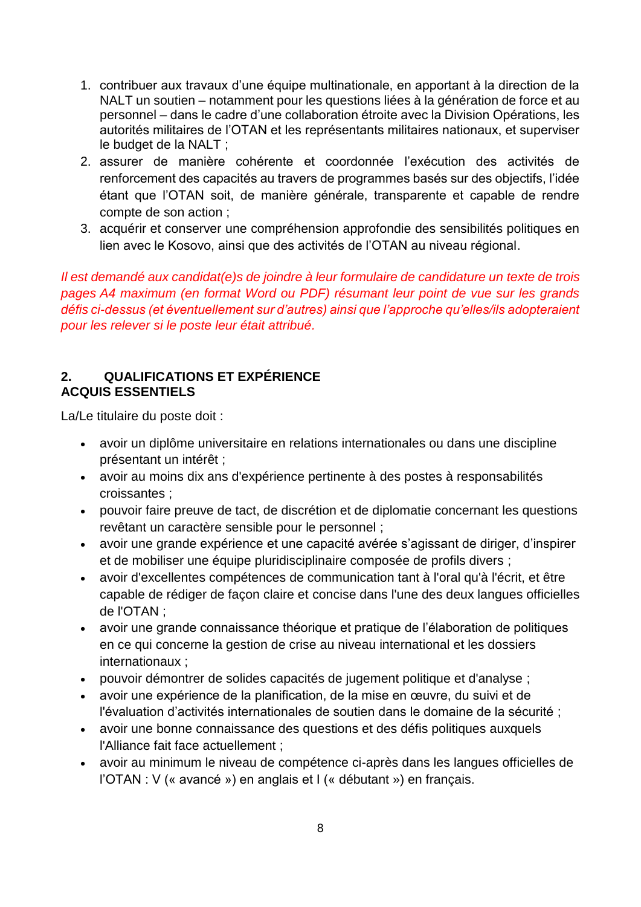- 1. contribuer aux travaux d'une équipe multinationale, en apportant à la direction de la NALT un soutien – notamment pour les questions liées à la génération de force et au personnel – dans le cadre d'une collaboration étroite avec la Division Opérations, les autorités militaires de l'OTAN et les représentants militaires nationaux, et superviser le budget de la NALT ;
- 2. assurer de manière cohérente et coordonnée l'exécution des activités de renforcement des capacités au travers de programmes basés sur des objectifs, l'idée étant que l'OTAN soit, de manière générale, transparente et capable de rendre compte de son action ;
- 3. acquérir et conserver une compréhension approfondie des sensibilités politiques en lien avec le Kosovo, ainsi que des activités de l'OTAN au niveau régional.

*Il est demandé aux candidat(e)s de joindre à leur formulaire de candidature un texte de trois pages A4 maximum (en format Word ou PDF) résumant leur point de vue sur les grands défis ci-dessus (et éventuellement sur d'autres) ainsi que l'approche qu'elles/ils adopteraient pour les relever si le poste leur était attribué.*

### **2. QUALIFICATIONS ET EXPÉRIENCE ACQUIS ESSENTIELS**

La/Le titulaire du poste doit :

- avoir un diplôme universitaire en relations internationales ou dans une discipline présentant un intérêt ;
- avoir au moins dix ans d'expérience pertinente à des postes à responsabilités croissantes ;
- pouvoir faire preuve de tact, de discrétion et de diplomatie concernant les questions revêtant un caractère sensible pour le personnel ;
- avoir une grande expérience et une capacité avérée s'agissant de diriger, d'inspirer et de mobiliser une équipe pluridisciplinaire composée de profils divers ;
- avoir d'excellentes compétences de communication tant à l'oral qu'à l'écrit, et être capable de rédiger de façon claire et concise dans l'une des deux langues officielles de l'OTAN ;
- avoir une grande connaissance théorique et pratique de l'élaboration de politiques en ce qui concerne la gestion de crise au niveau international et les dossiers internationaux ;
- pouvoir démontrer de solides capacités de jugement politique et d'analyse ;
- avoir une expérience de la planification, de la mise en œuvre, du suivi et de l'évaluation d'activités internationales de soutien dans le domaine de la sécurité ;
- avoir une bonne connaissance des questions et des défis politiques auxquels l'Alliance fait face actuellement ;
- avoir au minimum le niveau de compétence ci-après dans les langues officielles de l'OTAN : V (« avancé ») en anglais et I (« débutant ») en français.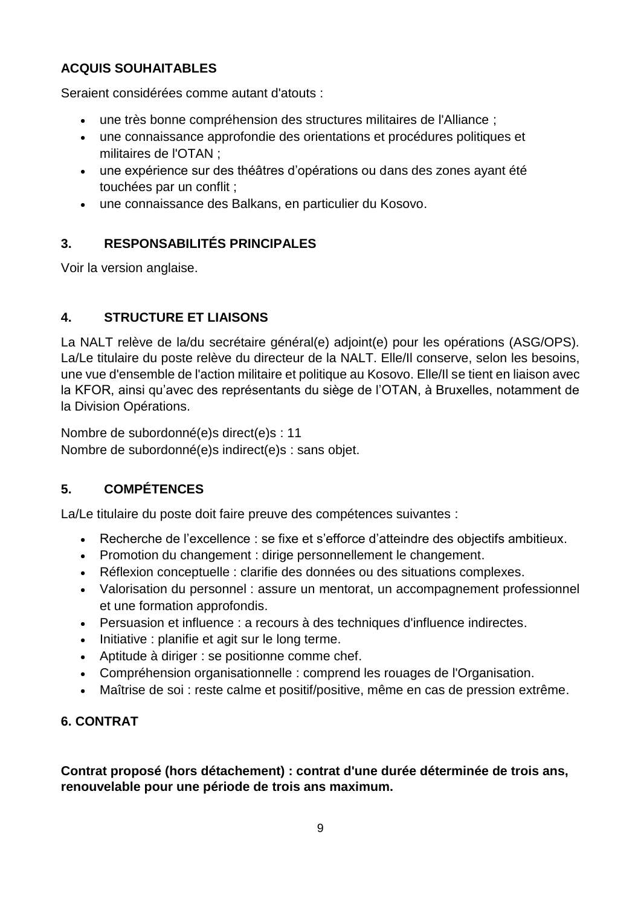## **ACQUIS SOUHAITABLES**

Seraient considérées comme autant d'atouts :

- une très bonne compréhension des structures militaires de l'Alliance ;
- une connaissance approfondie des orientations et procédures politiques et militaires de l'OTAN ;
- une expérience sur des théâtres d'opérations ou dans des zones ayant été touchées par un conflit ;
- une connaissance des Balkans, en particulier du Kosovo.

## **3. RESPONSABILITÉS PRINCIPALES**

Voir la version anglaise.

## **4. STRUCTURE ET LIAISONS**

La NALT relève de la/du secrétaire général(e) adjoint(e) pour les opérations (ASG/OPS). La/Le titulaire du poste relève du directeur de la NALT. Elle/Il conserve, selon les besoins, une vue d'ensemble de l'action militaire et politique au Kosovo. Elle/Il se tient en liaison avec la KFOR, ainsi qu'avec des représentants du siège de l'OTAN, à Bruxelles, notamment de la Division Opérations.

Nombre de subordonné(e)s direct(e)s : 11 Nombre de subordonné(e)s indirect(e)s : sans objet.

## **5. COMPÉTENCES**

La/Le titulaire du poste doit faire preuve des compétences suivantes :

- Recherche de l'excellence : se fixe et s'efforce d'atteindre des objectifs ambitieux.
- Promotion du changement : dirige personnellement le changement.
- Réflexion conceptuelle : clarifie des données ou des situations complexes.
- Valorisation du personnel : assure un mentorat, un accompagnement professionnel et une formation approfondis.
- Persuasion et influence : a recours à des techniques d'influence indirectes.
- Initiative : planifie et agit sur le long terme.
- Aptitude à diriger : se positionne comme chef.
- Compréhension organisationnelle : comprend les rouages de l'Organisation.
- Maîtrise de soi : reste calme et positif/positive, même en cas de pression extrême.

## **6. CONTRAT**

**Contrat proposé (hors détachement) : contrat d'une durée déterminée de trois ans, renouvelable pour une période de trois ans maximum.**